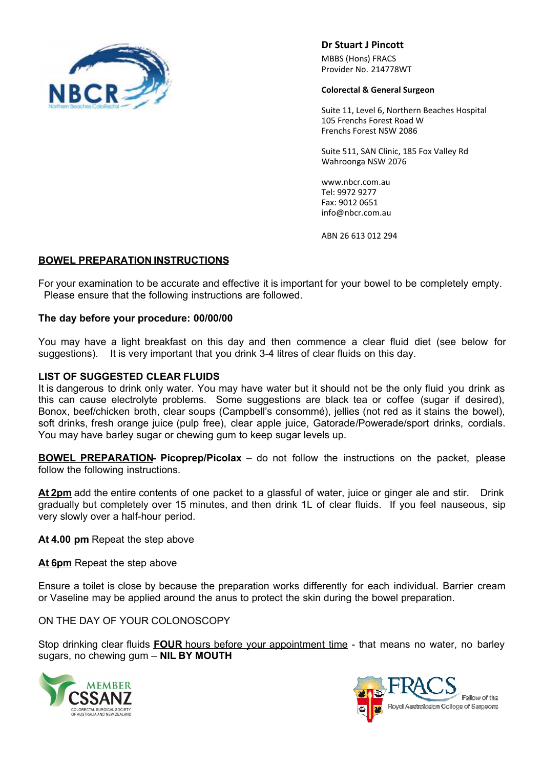

**Dr Stuart J Pincott**

MBBS (Hons) FRACS Provider No. 214778WT

#### **Colorectal & General Surgeon**

Suite 11, Level 6, Northern Beaches Hospital 105 Frenchs Forest Road W Frenchs Forest NSW 2086

Suite 511, SAN Clinic, 185 Fox Valley Rd Wahroonga NSW 2076

www.nbcr.com.au Tel: 9972 9277 Fax: 9012 0651 info@nbcr.com.au

ABN 26 613 012 294

# **BOWEL PREPARATION INSTRUCTIONS**

For your examination to be accurate and effective it is important for your bowel to be completely empty. Please ensure that the following instructions are followed.

#### **The day before your procedure: 00/00/00**

You may have a light breakfast on this day and then commence a clear fluid diet (see below for suggestions). It is very important that you drink 3-4 litres of clear fluids on this day.

#### **LIST OF SUGGESTED CLEAR FLUIDS**

It is dangerous to drink only water. You may have water but it should not be the only fluid you drink as this can cause electrolyte problems. Some suggestions are black tea or coffee (sugar if desired), Bonox, beef/chicken broth, clear soups (Campbell's consommé), jellies (not red as it stains the bowel), soft drinks, fresh orange juice (pulp free), clear apple juice, Gatorade/Powerade/sport drinks, cordials. You may have barley sugar or chewing gum to keep sugar levels up.

**BOWEL PREPARATION- Picoprep/Picolax** – do not follow the instructions on the packet, please follow the following instructions.

**At 2pm** add the entire contents of one packet to a glassful of water, juice or ginger ale and stir. Drink gradually but completely over 15 minutes, and then drink 1L of clear fluids. If you feel nauseous, sip very slowly over a half-hour period.

**At 4.00 pm** Repeat the step above

**At 6pm** Repeat the step above

Ensure a toilet is close by because the preparation works differently for each individual. Barrier cream or Vaseline may be applied around the anus to protect the skin during the bowel preparation.

ON THE DAY OF YOUR COLONOSCOPY

Stop drinking clear fluids **FOUR** hours before your appointment time - that means no water, no barley sugars, no chewing gum – **NIL BY MOUTH**